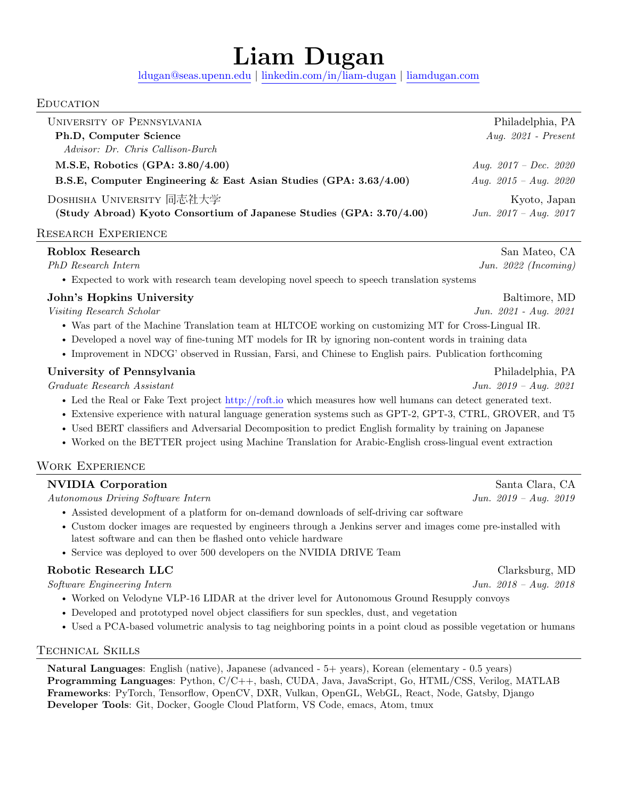# Liam Dugan

[ldugan@seas.upenn.edu](mailto:ldugan@seas.upenn.edu) | [linkedin.com/in/liam-dugan](https://linkedin.com/in/liam-dugan) | [liamdugan.com](https://liamdugan.com)

#### **EDUCATION**

| UNIVERSITY OF PENNSYLVANIA                                           | Philadelphia, PA        |
|----------------------------------------------------------------------|-------------------------|
| Ph.D, Computer Science                                               | Aug. $2021$ - Present   |
| Advisor: Dr. Chris Callison-Burch                                    |                         |
| M.S.E, Robotics (GPA: 3.80/4.00)                                     | Aug. $2017 - Dec.$ 2020 |
| B.S.E, Computer Engineering & East Asian Studies (GPA: 3.63/4.00)    | Aug. $2015 - Aug. 2020$ |
| DOSHISHA UNIVERSITY 同志社大学                                            | Kyoto, Japan            |
| (Study Abroad) Kyoto Consortium of Japanese Studies (GPA: 3.70/4.00) | Jun. $2017 - Aug. 2017$ |
|                                                                      |                         |

## Research Experience

| Roblox Research                                                                                              | San Mateo, CA           |  |
|--------------------------------------------------------------------------------------------------------------|-------------------------|--|
| PhD Research Intern                                                                                          | Jun. $2022$ (Incoming)  |  |
| • Expected to work with research team developing novel speech to speech translation systems                  |                         |  |
| John's Hopkins University                                                                                    | Baltimore, MD           |  |
| Visiting Research Scholar                                                                                    | Jun. 2021 - Aug. 2021   |  |
| • Was part of the Machine Translation team at HLTCOE working on customizing MT for Cross-Lingual IR.         |                         |  |
| • Developed a novel way of fine-tuning MT models for IR by ignoring non-content words in training data       |                         |  |
| • Improvement in NDCG' observed in Russian, Farsi, and Chinese to English pairs. Publication forthcoming     |                         |  |
| University of Pennsylvania                                                                                   | Philadelphia, PA        |  |
| Graduate Research Assistant                                                                                  | Jun. $2019 - Aug. 2021$ |  |
| • Led the Real or Fake Text project http://roft.io which measures how well humans can detect generated text. |                         |  |
| • Extensive experience with natural language generation systems such as GPT-2, GPT-3, CTRL, GROVER, and T5   |                         |  |
| • Used BERT classifiers and Adversarial Decomposition to predict English formality by training on Japanese   |                         |  |
| • Worked on the BETTER project using Machine Translation for Arabic-English cross-lingual event extraction   |                         |  |
| <b>WORK EXPERIENCE</b>                                                                                       |                         |  |
| <b>NVIDIA</b> Corporation                                                                                    | Santa Clara, CA         |  |
| Autonomous Driving Software Intern                                                                           | Jun. $2019 - Aug. 2019$ |  |
| • Assisted development of a platform for on-demand downloads of self-driving car software                    |                         |  |
|                                                                                                              |                         |  |

- Custom docker images are requested by engineers through a Jenkins server and images come pre-installed with latest software and can then be flashed onto vehicle hardware
- Service was deployed to over 500 developers on the NVIDIA DRIVE Team

# Robotic Research LLC Clarksburg, MD

Software Engineering Intern Jun. 2018 – Aug. 2018

- Worked on Velodyne VLP-16 LIDAR at the driver level for Autonomous Ground Resupply convoys
- Developed and prototyped novel object classifiers for sun speckles, dust, and vegetation
- Used a PCA-based volumetric analysis to tag neighboring points in a point cloud as possible vegetation or humans

## Technical Skills

Natural Languages: English (native), Japanese (advanced - 5+ years), Korean (elementary - 0.5 years) Programming Languages: Python, C/C++, bash, CUDA, Java, JavaScript, Go, HTML/CSS, Verilog, MATLAB Frameworks: PyTorch, Tensorflow, OpenCV, DXR, Vulkan, OpenGL, WebGL, React, Node, Gatsby, Django Developer Tools: Git, Docker, Google Cloud Platform, VS Code, emacs, Atom, tmux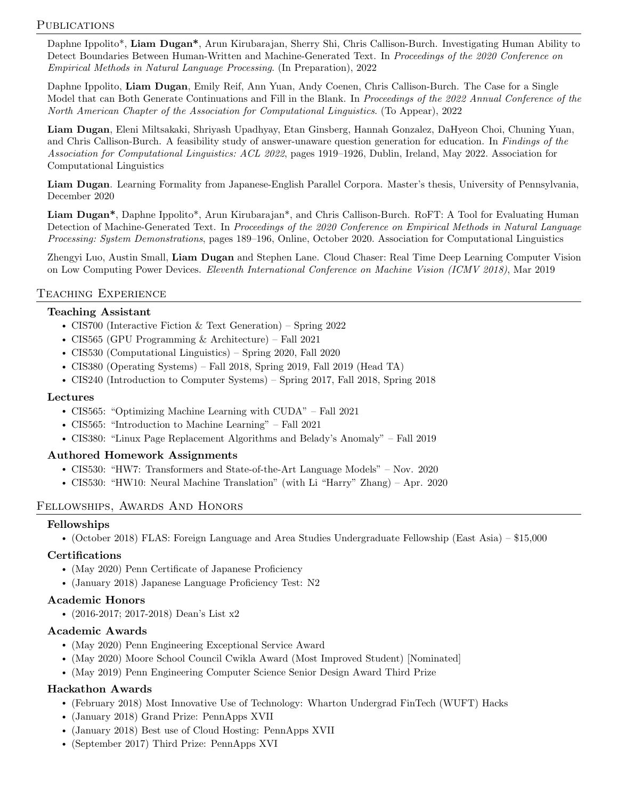## PUBLICATIONS

Daphne Ippolito\*, Liam Dugan\*, Arun Kirubarajan, Sherry Shi, Chris Callison-Burch. Investigating Human Ability to Detect Boundaries Between Human-Written and Machine-Generated Text. In Proceedings of the 2020 Conference on Empirical Methods in Natural Language Processing. (In Preparation), 2022

Daphne Ippolito, Liam Dugan, Emily Reif, Ann Yuan, Andy Coenen, Chris Callison-Burch. The Case for a Single Model that can Both Generate Continuations and Fill in the Blank. In Proceedings of the 2022 Annual Conference of the North American Chapter of the Association for Computational Linguistics. (To Appear), 2022

Liam Dugan, Eleni Miltsakaki, Shriyash Upadhyay, Etan Ginsberg, Hannah Gonzalez, DaHyeon Choi, Chuning Yuan, and Chris Callison-Burch. A feasibility study of answer-unaware question generation for education. In Findings of the Association for Computational Linguistics: ACL 2022, pages 1919–1926, Dublin, Ireland, May 2022. Association for Computational Linguistics

Liam Dugan. Learning Formality from Japanese-English Parallel Corpora. Master's thesis, University of Pennsylvania, December 2020

Liam Dugan\*, Daphne Ippolito\*, Arun Kirubarajan\*, and Chris Callison-Burch. RoFT: A Tool for Evaluating Human Detection of Machine-Generated Text. In Proceedings of the 2020 Conference on Empirical Methods in Natural Language Processing: System Demonstrations, pages 189–196, Online, October 2020. Association for Computational Linguistics

Zhengyi Luo, Austin Small, Liam Dugan and Stephen Lane. Cloud Chaser: Real Time Deep Learning Computer Vision on Low Computing Power Devices. Eleventh International Conference on Machine Vision (ICMV 2018), Mar 2019

## Teaching Experience

#### Teaching Assistant

- CIS700 (Interactive Fiction & Text Generation) Spring 2022
- CIS565 (GPU Programming & Architecture) Fall 2021
- CIS530 (Computational Linguistics) Spring 2020, Fall 2020
- CIS380 (Operating Systems) Fall 2018, Spring 2019, Fall 2019 (Head TA)
- CIS240 (Introduction to Computer Systems) Spring 2017, Fall 2018, Spring 2018

#### Lectures

- CIS565: "Optimizing Machine Learning with CUDA" Fall 2021
- CIS565: "Introduction to Machine Learning" Fall 2021
- CIS380: "Linux Page Replacement Algorithms and Belady's Anomaly" Fall 2019

#### Authored Homework Assignments

- CIS530: "HW7: Transformers and State-of-the-Art Language Models" Nov. 2020
- CIS530: "HW10: Neural Machine Translation" (with Li "Harry" Zhang) Apr. 2020

#### Fellowships, Awards And Honors

#### Fellowships

• (October 2018) FLAS: Foreign Language and Area Studies Undergraduate Fellowship (East Asia) – \$15,000

#### Certifications

- (May 2020) Penn Certificate of Japanese Proficiency
- (January 2018) Japanese Language Proficiency Test: N2

#### Academic Honors

• (2016-2017; 2017-2018) Dean's List x2

#### Academic Awards

- (May 2020) Penn Engineering Exceptional Service Award
- (May 2020) Moore School Council Cwikla Award (Most Improved Student) [Nominated]
- (May 2019) Penn Engineering Computer Science Senior Design Award Third Prize

#### Hackathon Awards

- (February 2018) Most Innovative Use of Technology: Wharton Undergrad FinTech (WUFT) Hacks
- (January 2018) Grand Prize: PennApps XVII
- (January 2018) Best use of Cloud Hosting: PennApps XVII
- (September 2017) Third Prize: PennApps XVI